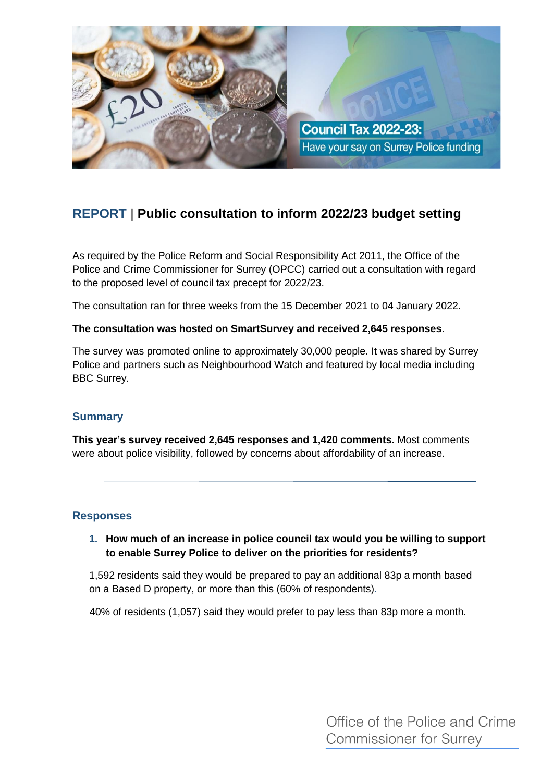

# **REPORT | Public consultation to inform 2022/23 budget setting**

As required by the Police Reform and Social Responsibility Act 2011, the Office of the Police and Crime Commissioner for Surrey (OPCC) carried out a consultation with regard to the proposed level of council tax precept for 2022/23.

The consultation ran for three weeks from the 15 December 2021 to 04 January 2022.

## **The consultation was hosted on SmartSurvey and received 2,645 responses**.

The survey was promoted online to approximately 30,000 people. It was shared by Surrey Police and partners such as Neighbourhood Watch and featured by local media including BBC Surrey.

# **Summary**

**This year's survey received 2,645 responses and 1,420 comments.** Most comments were about police visibility, followed by concerns about affordability of an increase.

# **Responses**

# **1. How much of an increase in police council tax would you be willing to support to enable Surrey Police to deliver on the priorities for residents?**

1,592 residents said they would be prepared to pay an additional 83p a month based on a Based D property, or more than this (60% of respondents).

40% of residents (1,057) said they would prefer to pay less than 83p more a month.

Office of the Police and Crime **Commissioner for Surrey**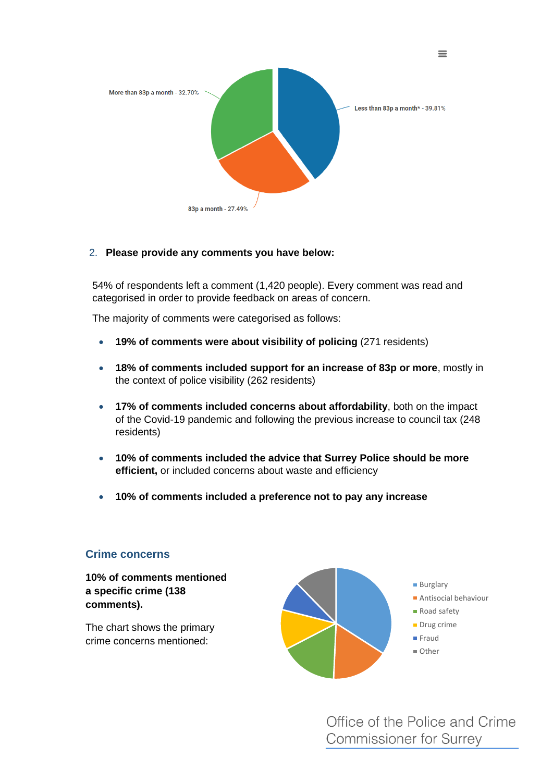

## 2. **Please provide any comments you have below:**

54% of respondents left a comment (1,420 people). Every comment was read and categorised in order to provide feedback on areas of concern.

The majority of comments were categorised as follows:

- **19% of comments were about visibility of policing** (271 residents)
- **18% of comments included support for an increase of 83p or more**, mostly in the context of police visibility (262 residents)
- **17% of comments included concerns about affordability**, both on the impact of the Covid-19 pandemic and following the previous increase to council tax (248 residents)
- **10% of comments included the advice that Surrey Police should be more efficient,** or included concerns about waste and efficiency
- **10% of comments included a preference not to pay any increase**

## **Crime concerns**

**10% of comments mentioned a specific crime (138 comments).**

The chart shows the primary crime concerns mentioned:



Office of the Police and Crime **Commissioner for Surrey** 

 $\equiv$